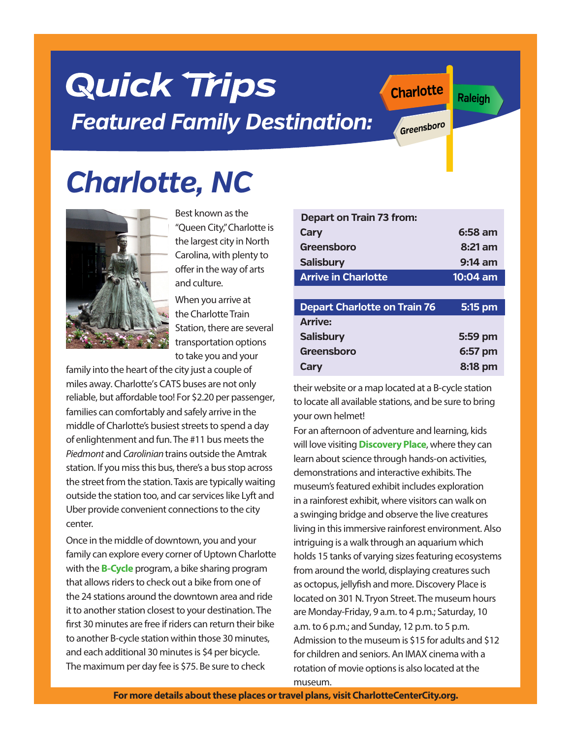#### **For more details about these places or travel plans, visit CharlotteCenterCity.org.**

# **Quick Trips** *Featured Family Destination:*

*Charlotte, NC*



Best known as the "Queen City," Charlotte is the largest city in North Carolina, with plenty to offer in the way of arts and culture.

When you arrive at the Charlotte Train Station, there are several transportation options to take you and your

family into the heart of the city just a couple of miles away. Charlotte's CATS buses are not only reliable, but affordable too! For \$2.20 per passenger, families can comfortably and safely arrive in the middle of Charlotte's busiest streets to spend a day of enlightenment and fun.The #11 bus meets the *Piedmont* and *Carolinian* trains outside the Amtrak station. If you miss this bus, there's a bus stop across the street from the station. Taxis are typically waiting outside the station too, and car services like Lyft and Uber provide convenient connections to the city center.

Once in the middle of downtown, you and your family can explore every corner of Uptown Charlotte with the **B-Cycle** program, a bike sharing program that allows riders to check out a bike from one of the 24 stations around the downtown area and ride it to another station closest to your destination. The first 30 minutes are free if riders can return their bike to another B-cycle station within those 30 minutes, and each additional 30 minutes is \$4 per bicycle. The maximum per day fee is \$75. Be sure to check

| <b>Depart on Train 73 from:</b>     |                   |
|-------------------------------------|-------------------|
| Cary                                | 6:58 am           |
| Greensboro                          | $8:21$ am         |
| <b>Salisbury</b>                    | $9:14 \text{ am}$ |
| <b>Arrive in Charlotte</b>          | 10:04 am          |
|                                     |                   |
| <b>Depart Charlotte on Train 76</b> | 5:15 pm           |
| <b>Arrive:</b>                      |                   |
| <b>Salisbury</b>                    | 5:59 pm           |
| Greensboro                          | 6:57 pm           |
| Cary                                | 8:18 pm           |

**Charlotte**

**Greensboro**

their website or a map located at a B-cycle station to locate all available stations, and be sure to bring your own helmet!

For an afternoon of adventure and learning, kids will love visiting**Discovery Place**, where they can learn about science through hands-on activities, demonstrations and interactive exhibits. The museum's featured exhibit includes exploration in a rainforest exhibit, where visitors can walk on a swinging bridge and observe the live creatures living in this immersive rainforest environment. Also intriguing is a walk through an aquarium which holds 15 tanks of varying sizes featuring ecosystems from around the world, displaying creatures such as octopus, jellyfish and more. Discovery Place is located on 301 N.Tryon Street. The museum hours are Monday-Friday, 9 a.m. to 4 p.m.; Saturday, 10 a.m. to 6 p.m.; and Sunday, 12 p.m. to 5 p.m. Admission to the museum is \$15 for adults and \$12 for children and seniors. An IMAX cinema with a rotation of movie options is also located at the museum.

**Raleigh**